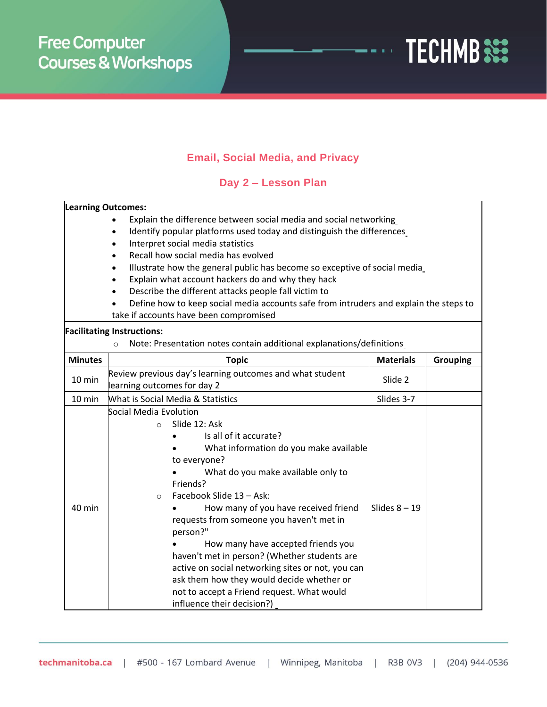

## **Email, Social Media, and Privacy**

## **Day 2 – Lesson Plan**

## **Learning Outcomes:**

- Explain the difference between social media and social networking
- Identify popular platforms used today and distinguish the differences
- Interpret social media statistics
- Recall how social media has evolved
- Illustrate how the general public has become so exceptive of social media
- Explain what account hackers do and why they hack
- Describe the different attacks people fall victim to
- Define how to keep social media accounts safe from intruders and explain the steps to take if accounts have been compromised

## **Facilitating Instructions:**

o Note: Presentation notes contain additional explanations/definitions

| <b>Minutes</b> | <b>Topic</b>                                                                                                                                                                                                                                                                                                                                                                                                                                                                                                                                                                                        | <b>Materials</b> | <b>Grouping</b> |
|----------------|-----------------------------------------------------------------------------------------------------------------------------------------------------------------------------------------------------------------------------------------------------------------------------------------------------------------------------------------------------------------------------------------------------------------------------------------------------------------------------------------------------------------------------------------------------------------------------------------------------|------------------|-----------------|
| 10 min         | Review previous day's learning outcomes and what student<br>learning outcomes for day 2                                                                                                                                                                                                                                                                                                                                                                                                                                                                                                             | Slide 2          |                 |
| 10 min         | <b>What is Social Media &amp; Statistics</b>                                                                                                                                                                                                                                                                                                                                                                                                                                                                                                                                                        | Slides 3-7       |                 |
| 40 min         | Social Media Evolution<br>Slide 12: Ask<br>$\circ$<br>Is all of it accurate?<br>What information do you make available<br>to everyone?<br>What do you make available only to<br>Friends?<br>Facebook Slide 13 - Ask:<br>$\circ$<br>How many of you have received friend<br>requests from someone you haven't met in<br>person?"<br>How many have accepted friends you<br>haven't met in person? (Whether students are<br>active on social networking sites or not, you can<br>ask them how they would decide whether or<br>not to accept a Friend request. What would<br>influence their decision?) | Slides $8 - 19$  |                 |